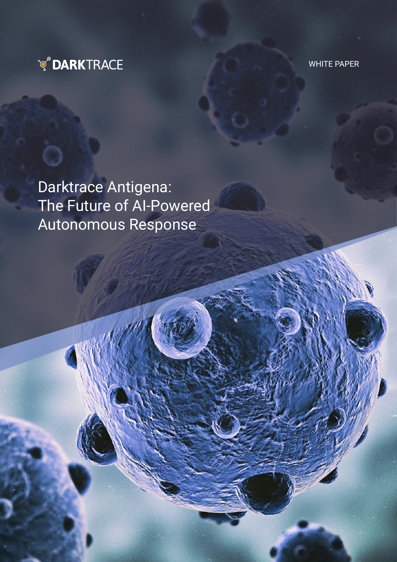

WHITE PAPER

Darktrace Antigena: The Future of AI-Powered Autonomous Response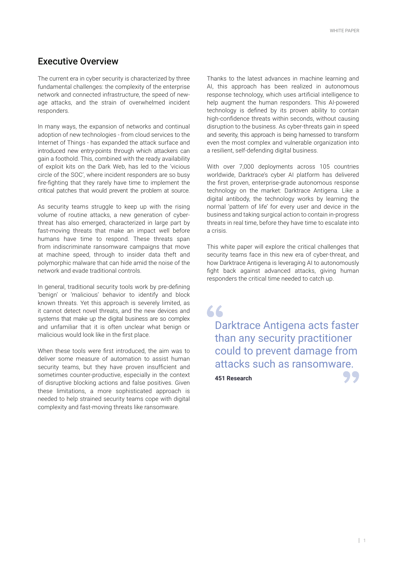# Executive Overview

The current era in cyber security is characterized by three fundamental challenges: the complexity of the enterprise network and connected infrastructure, the speed of newage attacks, and the strain of overwhelmed incident responders.

In many ways, the expansion of networks and continual adoption of new technologies - from cloud services to the Internet of Things - has expanded the attack surface and introduced new entry-points through which attackers can gain a foothold. This, combined with the ready availability of exploit kits on the Dark Web, has led to the 'vicious circle of the SOC', where incident responders are so busy fire-fighting that they rarely have time to implement the critical patches that would prevent the problem at source.

As security teams struggle to keep up with the rising volume of routine attacks, a new generation of cyberthreat has also emerged, characterized in large part by fast-moving threats that make an impact well before humans have time to respond. These threats span from indiscriminate ransomware campaigns that move at machine speed, through to insider data theft and polymorphic malware that can hide amid the noise of the network and evade traditional controls.

In general, traditional security tools work by pre-defining 'benign' or 'malicious' behavior to identify and block known threats. Yet this approach is severely limited, as it cannot detect novel threats, and the new devices and systems that make up the digital business are so complex and unfamiliar that it is often unclear what benign or malicious would look like in the first place.

When these tools were first introduced, the aim was to deliver some measure of automation to assist human security teams, but they have proven insufficient and sometimes counter-productive, especially in the context of disruptive blocking actions and false positives. Given these limitations, a more sophisticated approach is needed to help strained security teams cope with digital complexity and fast-moving threats like ransomware.

Thanks to the latest advances in machine learning and AI, this approach has been realized in autonomous response technology, which uses artificial intelligence to help augment the human responders. This AI-powered technology is defined by its proven ability to contain high-confidence threats within seconds, without causing disruption to the business. As cyber-threats gain in speed and severity, this approach is being harnessed to transform even the most complex and vulnerable organization into a resilient, self-defending digital business.

With over 7,000 deployments across 105 countries worldwide, Darktrace's cyber AI platform has delivered the first proven, enterprise-grade autonomous response technology on the market: Darktrace Antigena. Like a digital antibody, the technology works by learning the normal 'pattern of life' for every user and device in the business and taking surgical action to contain in-progress threats in real time, before they have time to escalate into a crisis.

This white paper will explore the critical challenges that security teams face in this new era of cyber-threat, and how Darktrace Antigena is leveraging AI to autonomously fight back against advanced attacks, giving human responders the critical time needed to catch up.

 $66$ Darktrace Antigena acts faster than any security practitioner could to prevent damage from attacks such as ransomware.

**451 Research**

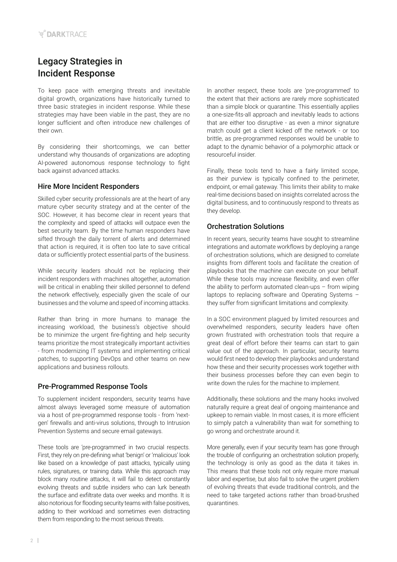# Legacy Strategies in Incident Response

To keep pace with emerging threats and inevitable digital growth, organizations have historically turned to three basic strategies in incident response. While these strategies may have been viable in the past, they are no longer sufficient and often introduce new challenges of their own.

By considering their shortcomings, we can better understand why thousands of organizations are adopting AI-powered autonomous response technology to fight back against advanced attacks.

## Hire More Incident Responders

Skilled cyber security professionals are at the heart of any mature cyber security strategy and at the center of the SOC. However, it has become clear in recent years that the complexity and speed of attacks will outpace even the best security team. By the time human responders have sifted through the daily torrent of alerts and determined that action is required, it is often too late to save critical data or sufficiently protect essential parts of the business.

While security leaders should not be replacing their incident responders with machines altogether, automation will be critical in enabling their skilled personnel to defend the network effectively, especially given the scale of our businesses and the volume and speed of incoming attacks.

Rather than bring in more humans to manage the increasing workload, the business's objective should be to minimize the urgent fire-fighting and help security teams prioritize the most strategically important activities - from modernizing IT systems and implementing critical patches, to supporting DevOps and other teams on new applications and business rollouts.

## Pre-Programmed Response Tools

To supplement incident responders, security teams have almost always leveraged some measure of automation via a host of pre-programmed response tools - from 'nextgen' firewalls and anti-virus solutions, through to Intrusion Prevention Systems and secure email gateways.

These tools are 'pre-programmed' in two crucial respects. First, they rely on pre-defining what 'benign' or 'malicious' look like based on a knowledge of past attacks, typically using rules, signatures, or training data. While this approach may block many routine attacks, it will fail to detect constantly evolving threats and subtle insiders who can lurk beneath the surface and exfiltrate data over weeks and months. It is also notorious for flooding security teams with false positives, adding to their workload and sometimes even distracting them from responding to the most serious threats.

In another respect, these tools are 'pre-programmed' to the extent that their actions are rarely more sophisticated than a simple block or quarantine. This essentially applies a one-size-fits-all approach and inevitably leads to actions that are either too disruptive - as even a minor signature match could get a client kicked off the network - or too brittle, as pre-programmed responses would be unable to adapt to the dynamic behavior of a polymorphic attack or resourceful insider.

Finally, these tools tend to have a fairly limited scope, as their purview is typically confined to the perimeter, endpoint, or email gateway. This limits their ability to make real-time decisions based on insights correlated across the digital business, and to continuously respond to threats as they develop.

## Orchestration Solutions

In recent years, security teams have sought to streamline integrations and automate workflows by deploying a range of orchestration solutions, which are designed to correlate insights from different tools and facilitate the creation of playbooks that the machine can execute on your behalf. While these tools may increase flexibility, and even offer the ability to perform automated clean-ups – from wiping laptops to replacing software and Operating Systems – they suffer from significant limitations and complexity.

In a SOC environment plagued by limited resources and overwhelmed responders, security leaders have often grown frustrated with orchestration tools that require a great deal of effort before their teams can start to gain value out of the approach. In particular, security teams would first need to develop their playbooks and understand how these and their security processes work together with their business processes before they can even begin to write down the rules for the machine to implement.

Additionally, these solutions and the many hooks involved naturally require a great deal of ongoing maintenance and upkeep to remain viable. In most cases, it is more efficient to simply patch a vulnerability than wait for something to go wrong and orchestrate around it.

More generally, even if your security team has gone through the trouble of configuring an orchestration solution properly, the technology is only as good as the data it takes in. This means that these tools not only require more manual labor and expertise, but also fail to solve the urgent problem of evolving threats that evade traditional controls, and the need to take targeted actions rather than broad-brushed quarantines.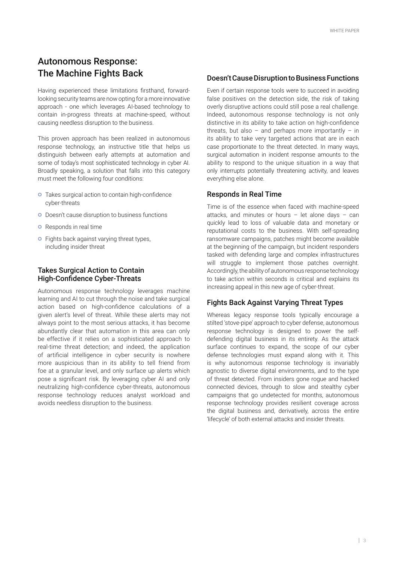# Autonomous Response: The Machine Fights Back

Having experienced these limitations firsthand, forwardlooking security teams are now opting for a more innovative approach - one which leverages AI-based technology to contain in-progress threats at machine-speed, without causing needless disruption to the business.

This proven approach has been realized in autonomous response technology, an instructive title that helps us distinguish between early attempts at automation and some of today's most sophisticated technology in cyber AI. Broadly speaking, a solution that falls into this category must meet the following four conditions:

- **o** Takes surgical action to contain high-confidence cyber-threats
- o Doesn't cause disruption to business functions
- o Responds in real time
- **o** Fights back against varying threat types, including insider threat

### Takes Surgical Action to Contain High-Confidence Cyber-Threats

Autonomous response technology leverages machine learning and AI to cut through the noise and take surgical action based on high-confidence calculations of a given alert's level of threat. While these alerts may not always point to the most serious attacks, it has become abundantly clear that automation in this area can only be effective if it relies on a sophisticated approach to real-time threat detection; and indeed, the application of artificial intelligence in cyber security is nowhere more auspicious than in its ability to tell friend from foe at a granular level, and only surface up alerts which pose a significant risk. By leveraging cyber AI and only neutralizing high-confidence cyber-threats, autonomous response technology reduces analyst workload and avoids needless disruption to the business.

### Doesn't Cause Disruption to Business Functions

Even if certain response tools were to succeed in avoiding false positives on the detection side, the risk of taking overly disruptive actions could still pose a real challenge. Indeed, autonomous response technology is not only distinctive in its ability to take action on high-confidence threats, but also – and perhaps more importantly – in its ability to take very targeted actions that are in each case proportionate to the threat detected. In many ways, surgical automation in incident response amounts to the ability to respond to the unique situation in a way that only interrupts potentially threatening activity, and leaves everything else alone.

### Responds in Real Time

Time is of the essence when faced with machine-speed attacks, and minutes or hours – let alone days – can quickly lead to loss of valuable data and monetary or reputational costs to the business. With self-spreading ransomware campaigns, patches might become available at the beginning of the campaign, but incident responders tasked with defending large and complex infrastructures will struggle to implement those patches overnight. Accordingly, the ability of autonomous response technology to take action within seconds is critical and explains its increasing appeal in this new age of cyber-threat.

### Fights Back Against Varying Threat Types

Whereas legacy response tools typically encourage a stilted 'stove-pipe' approach to cyber defense, autonomous response technology is designed to power the selfdefending digital business in its entirety. As the attack surface continues to expand, the scope of our cyber defense technologies must expand along with it. This is why autonomous response technology is invariably agnostic to diverse digital environments, and to the type of threat detected. From insiders gone rogue and hacked connected devices, through to slow and stealthy cyber campaigns that go undetected for months, autonomous response technology provides resilient coverage across the digital business and, derivatively, across the entire 'lifecycle' of both external attacks and insider threats.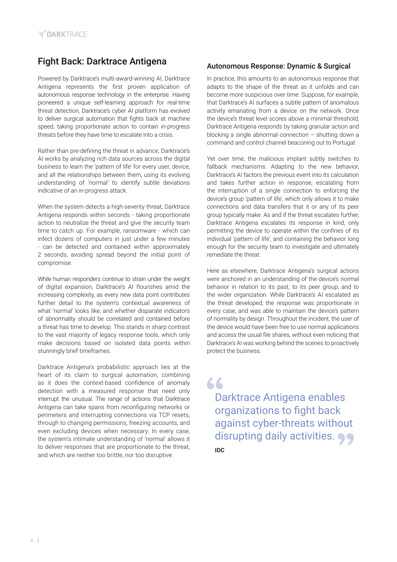# Fight Back: Darktrace Antigena

Powered by Darktrace's multi-award-winning AI, Darktrace Antigena represents the first proven application of autonomous response technology in the enterprise. Having pioneered a unique self-learning approach for real-time threat detection, Darktrace's cyber AI platform has evolved to deliver surgical automation that fights back at machine speed, taking proportionate action to contain in-progress threats before they have time to escalate into a crisis.

Rather than pre-defining the threat in advance, Darktrace's AI works by analyzing rich data sources across the digital business to learn the 'pattern of life' for every user, device, and all the relationships between them, using its evolving understanding of 'normal' to identify subtle deviations indicative of an in-progress attack.

When the system detects a high-severity threat, Darktrace Antigena responds within seconds - taking proportionate action to neutralize the threat and give the security team time to catch up. For example, ransomware - which can infect dozens of computers in just under a few minutes - can be detected and contained within approximately 2 seconds, avoiding spread beyond the initial point of compromise.

While human responders continue to strain under the weight of digital expansion, Darktrace's AI flourishes amid the increasing complexity, as every new data point contributes further detail to the system's contextual awareness of what 'normal' looks like, and whether disparate indicators of abnormality should be correlated and contained before a threat has time to develop. This stands in sharp contrast to the vast majority of legacy response tools, which only make decisions based on isolated data points within stunningly brief timeframes.

Darktrace Antigena's probabilistic approach lies at the heart of its claim to surgical automation, combining as it does the context-based confidence of anomaly detection with a measured response that need only interrupt the unusual. The range of actions that Darktrace Antigena can take spans from reconfiguring networks or perimeters and interrupting connections via TCP resets, through to changing permissions, freezing accounts, and even excluding devices when necessary. In every case, the system's intimate understanding of 'normal' allows it to deliver responses that are proportionate to the threat, and which are neither too brittle, nor too disruptive.

# Autonomous Response: Dynamic & Surgical

In practice, this amounts to an autonomous response that adapts to the shape of the threat as it unfolds and can become more suspicious over time. Suppose, for example, that Darktrace's AI surfaces a subtle pattern of anomalous activity emanating from a device on the network. Once the device's threat level scores above a minimal threshold, Darktrace Antigena responds by taking granular action and blocking a single abnormal connection – shutting down a command and control channel beaconing out to Portugal.

Yet over time, the malicious implant subtly switches to fallback mechanisms. Adapting to the new behavior, Darktrace's AI factors the previous event into its calculation and takes further action in response, escalating from the interruption of a single connection to enforcing the device's group 'pattern of life', which only allows it to make connections and data transfers that it or any of its peer group typically make. As and if the threat escalates further, Darktrace Antigena escalates its response in kind, only permitting the device to operate within the confines of its individual 'pattern of life', and containing the behavior long enough for the security team to investigate and ultimately remediate the threat.

Here as elsewhere, Darktrace Antigena's surgical actions were anchored in an understanding of the device's normal behavior in relation to its past, to its peer group, and to the wider organization. While Darktrace's AI escalated as the threat developed, the response was proportionate in every case, and was able to maintain the device's pattern of normality by design. Throughout the incident, the user of the device would have been free to use normal applications and access the usual file shares, without even noticing that Darktrace's AI was working behind the scenes to proactively protect the business.

66 Darktrace Antigena enables organizations to fight back against cyber-threats without disrupting daily activities. **IDC**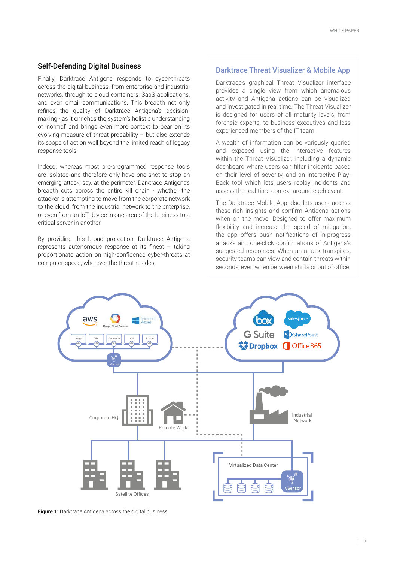### Self-Defending Digital Business

Finally, Darktrace Antigena responds to cyber-threats across the digital business, from enterprise and industrial networks, through to cloud containers, SaaS applications, and even email communications. This breadth not only refines the quality of Darktrace Antigena's decisionmaking - as it enriches the system's holistic understanding of 'normal' and brings even more context to bear on its evolving measure of threat probability – but also extends its scope of action well beyond the limited reach of legacy response tools.

Indeed, whereas most pre-programmed response tools are isolated and therefore only have one shot to stop an emerging attack, say, at the perimeter, Darktrace Antigena's breadth cuts across the entire kill chain - whether the attacker is attempting to move from the corporate network to the cloud, from the industrial network to the enterprise, or even from an IoT device in one area of the business to a critical server in another.

By providing this broad protection, Darktrace Antigena represents autonomous response at its finest – taking proportionate action on high-confidence cyber-threats at computer-speed, wherever the threat resides.

### Darktrace Threat Visualizer & Mobile App

Darktrace's graphical Threat Visualizer interface provides a single view from which anomalous activity and Antigena actions can be visualized and investigated in real time. The Threat Visualizer is designed for users of all maturity levels, from forensic experts, to business executives and less experienced members of the IT team.

A wealth of information can be variously queried and exposed using the interactive features within the Threat Visualizer, including a dynamic dashboard where users can filter incidents based on their level of severity, and an interactive Play-Back tool which lets users replay incidents and assess the real-time context around each event.

The Darktrace Mobile App also lets users access these rich insights and confirm Antigena actions when on the move. Designed to offer maximum flexibility and increase the speed of mitigation, the app offers push notifications of in-progress attacks and one-click confirmations of Antigena's suggested responses. When an attack transpires, security teams can view and contain threats within seconds, even when between shifts or out of office.



Figure 1: Darktrace Antigena across the digital business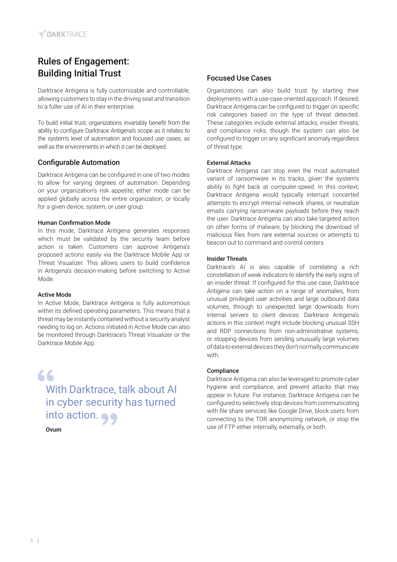# Rules of Engagement: Building Initial Trust

Darktrace Antigena is fully customizable and controllable, allowing customers to stay in the driving seat and transition to a fuller use of AI in their enterprise.

To build initial trust, organizations invariably benefit from the ability to configure Darktrace Antigena's scope as it relates to the system's level of automation and focused use cases, as well as the environments in which it can be deployed.

# Configurable Automation

Darktrace Antigena can be configured in one of two modes to allow for varying degrees of automation. Depending on your organization's risk appetite, either mode can be applied globally across the entire organization, or locally for a given device, system, or user group.

#### Human Confirmation Mode

In this mode, Darktrace Antigena generates responses which must be validated by the security team before action is taken. Customers can approve Antigena's proposed actions easily via the Darktrace Mobile App or Threat Visualizer. This allows users to build confidence in Antigena's decision-making before switching to Active Mode.

#### Active Mode

In Active Mode, Darktrace Antigena is fully autonomous within its defined operating parameters. This means that a threat may be instantly contained without a security analyst needing to log on. Actions initiated in Active Mode can also be monitored through Darktrace's Threat Visualizer or the Darktrace Mobile App.

66 With Darktrace, talk about AI in cyber security has turned into action.

**Ovum**

# Focused Use Cases

Organizations can also build trust by starting their deployments with a use-case oriented approach. If desired, Darktrace Antigena can be configured to trigger on specific risk categories based on the type of threat detected. These categories include external attacks, insider threats, and compliance risks, though the system can also be configured to trigger on any significant anomaly regardless of threat type.

### External Attacks

Darktrace Antigena can stop even the most automated variant of ransomware in its tracks, given the system's ability to fight back at computer-speed. In this context, Darktrace Antigena would typically interrupt concerted attempts to encrypt internal network shares, or neutralize emails carrying ransomware payloads before they reach the user. Darktrace Antigena can also take targeted action on other forms of malware, by blocking the download of malicious files from rare external sources or attempts to beacon out to command and control centers.

#### Insider Threats

Darktrace's AI is also capable of correlating a rich constellation of weak indicators to identify the early signs of an insider threat. If configured for this use case, Darktrace Antigena can take action on a range of anomalies, from unusual privileged user activities and large outbound data volumes, through to unexpected large downloads from internal servers to client devices. Darktrace Antigena's actions in this context might include blocking unusual SSH and RDP connections from non-administrative systems, or stopping devices from sending unusually large volumes of data to external devices they don't normally communicate with.

#### **Compliance**

Darktrace Antigena can also be leveraged to promote cyber hygiene and compliance, and prevent attacks that may appear in future. For instance, Darktrace Antigena can be configured to selectively stop devices from communicating with file share services like Google Drive, block users from connecting to the TOR anonymizing network, or stop the use of FTP either internally, externally, or both.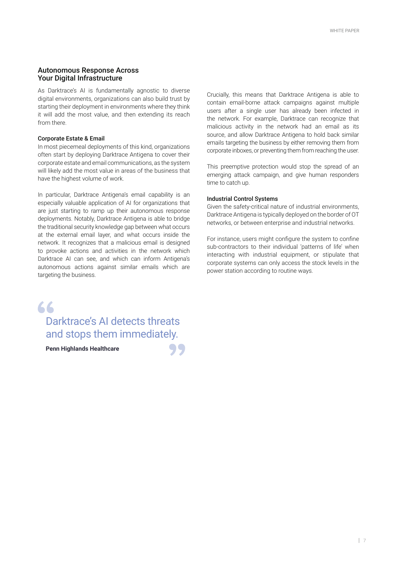### Autonomous Response Across Your Digital Infrastructure

As Darktrace's AI is fundamentally agnostic to diverse digital environments, organizations can also build trust by starting their deployment in environments where they think it will add the most value, and then extending its reach from there.

#### Corporate Estate & Email

In most piecemeal deployments of this kind, organizations often start by deploying Darktrace Antigena to cover their corporate estate and email communications, as the system will likely add the most value in areas of the business that have the highest volume of work.

In particular, Darktrace Antigena's email capability is an especially valuable application of AI for organizations that are just starting to ramp up their autonomous response deployments. Notably, Darktrace Antigena is able to bridge the traditional security knowledge gap between what occurs at the external email layer, and what occurs inside the network. It recognizes that a malicious email is designed to provoke actions and activities in the network which Darktrace AI can see, and which can inform Antigena's autonomous actions against similar emails which are targeting the business.

# $66$

# Darktrace's AI detects threats and stops them immediately.

**Penn Highlands Healthcare**

Crucially, this means that Darktrace Antigena is able to contain email-borne attack campaigns against multiple users after a single user has already been infected in the network. For example, Darktrace can recognize that malicious activity in the network had an email as its source, and allow Darktrace Antigena to hold back similar emails targeting the business by either removing them from corporate inboxes, or preventing them from reaching the user.

This preemptive protection would stop the spread of an emerging attack campaign, and give human responders time to catch up.

#### Industrial Control Systems

Given the safety-critical nature of industrial environments, Darktrace Antigena is typically deployed on the border of OT networks, or between enterprise and industrial networks.

For instance, users might configure the system to confine sub-contractors to their individual 'patterns of life' when interacting with industrial equipment, or stipulate that corporate systems can only access the stock levels in the power station according to routine ways.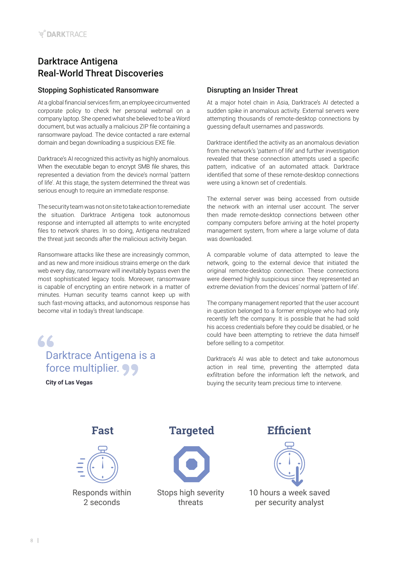# Darktrace Antigena Real-World Threat Discoveries

# Stopping Sophisticated Ransomware

At a global financial services firm, an employee circumvented corporate policy to check her personal webmail on a company laptop. She opened what she believed to be a Word document, but was actually a malicious ZIP file containing a ransomware payload. The device contacted a rare external domain and began downloading a suspicious EXE file.

Darktrace's AI recognized this activity as highly anomalous. When the executable began to encrypt SMB file shares, this represented a deviation from the device's normal 'pattern of life'. At this stage, the system determined the threat was serious enough to require an immediate response.

The security team was not on site to take action to remediate the situation. Darktrace Antigena took autonomous response and interrupted all attempts to write encrypted files to network shares. In so doing, Antigena neutralized the threat just seconds after the malicious activity began.

Ransomware attacks like these are increasingly common, and as new and more insidious strains emerge on the dark web every day, ransomware will inevitably bypass even the most sophisticated legacy tools. Moreover, ransomware is capable of encrypting an entire network in a matter of minutes. Human security teams cannot keep up with such fast-moving attacks, and autonomous response has become vital in today's threat landscape.

 $66$ Darktrace Antigena is a force multiplier. 99

**City of Las Vegas**

# Disrupting an Insider Threat

At a major hotel chain in Asia, Darktrace's AI detected a sudden spike in anomalous activity. External servers were attempting thousands of remote-desktop connections by guessing default usernames and passwords.

Darktrace identified the activity as an anomalous deviation from the network's 'pattern of life' and further investigation revealed that these connection attempts used a specific pattern, indicative of an automated attack. Darktrace identified that some of these remote-desktop connections were using a known set of credentials.

The external server was being accessed from outside the network with an internal user account. The server then made remote-desktop connections between other company computers before arriving at the hotel property management system, from where a large volume of data was downloaded.

A comparable volume of data attempted to leave the network, going to the external device that initiated the original remote-desktop connection. These connections were deemed highly suspicious since they represented an extreme deviation from the devices' normal 'pattern of life'.

The company management reported that the user account in question belonged to a former employee who had only recently left the company. It is possible that he had sold his access credentials before they could be disabled, or he could have been attempting to retrieve the data himself before selling to a competitor.

Darktrace's AI was able to detect and take autonomous action in real time, preventing the attempted data exfiltration before the information left the network, and buying the security team precious time to intervene.



Responds within 2 seconds

**Fast Targeted Efficient**



Stops high severity threats



10 hours a week saved per security analyst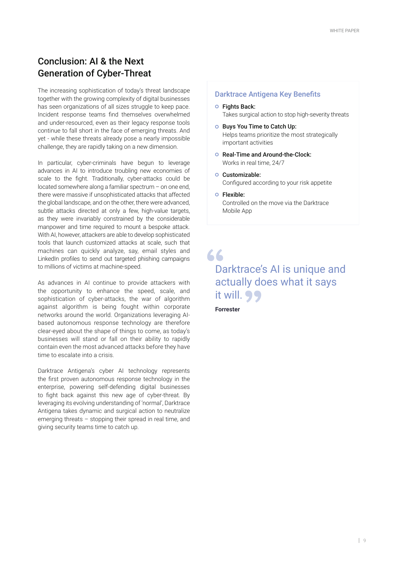# Conclusion: AI & the Next Generation of Cyber-Threat

The increasing sophistication of today's threat landscape together with the growing complexity of digital businesses has seen organizations of all sizes struggle to keep pace. Incident response teams find themselves overwhelmed and under-resourced, even as their legacy response tools continue to fall short in the face of emerging threats. And yet - while these threats already pose a nearly impossible challenge, they are rapidly taking on a new dimension.

In particular, cyber-criminals have begun to leverage advances in AI to introduce troubling new economies of scale to the fight. Traditionally, cyber-attacks could be located somewhere along a familiar spectrum – on one end, there were massive if unsophisticated attacks that affected the global landscape, and on the other, there were advanced, subtle attacks directed at only a few, high-value targets, as they were invariably constrained by the considerable manpower and time required to mount a bespoke attack. With AI, however, attackers are able to develop sophisticated tools that launch customized attacks at scale, such that machines can quickly analyze, say, email styles and LinkedIn profiles to send out targeted phishing campaigns to millions of victims at machine-speed.

As advances in AI continue to provide attackers with the opportunity to enhance the speed, scale, and sophistication of cyber-attacks, the war of algorithm against algorithm is being fought within corporate networks around the world. Organizations leveraging AIbased autonomous response technology are therefore clear-eyed about the shape of things to come, as today's businesses will stand or fall on their ability to rapidly contain even the most advanced attacks before they have time to escalate into a crisis.

Darktrace Antigena's cyber AI technology represents the first proven autonomous response technology in the enterprise, powering self-defending digital businesses to fight back against this new age of cyber-threat. By leveraging its evolving understanding of 'normal', Darktrace Antigena takes dynamic and surgical action to neutralize emerging threats – stopping their spread in real time, and giving security teams time to catch up.

#### Darktrace Antigena Key Benefits

- o Fights Back: Takes surgical action to stop high-severity threats
- **Buys You Time to Catch Up:** Helps teams prioritize the most strategically important activities
- O Real-Time and Around-the-Clock: Works in real time, 24/7
- o Customizable: Configured according to your risk appetite
- Flexible: Controlled on the move via the Darktrace Mobile App

 $66$ Darktrace's AI is unique and actually does what it says it will. 99

**Forrester**